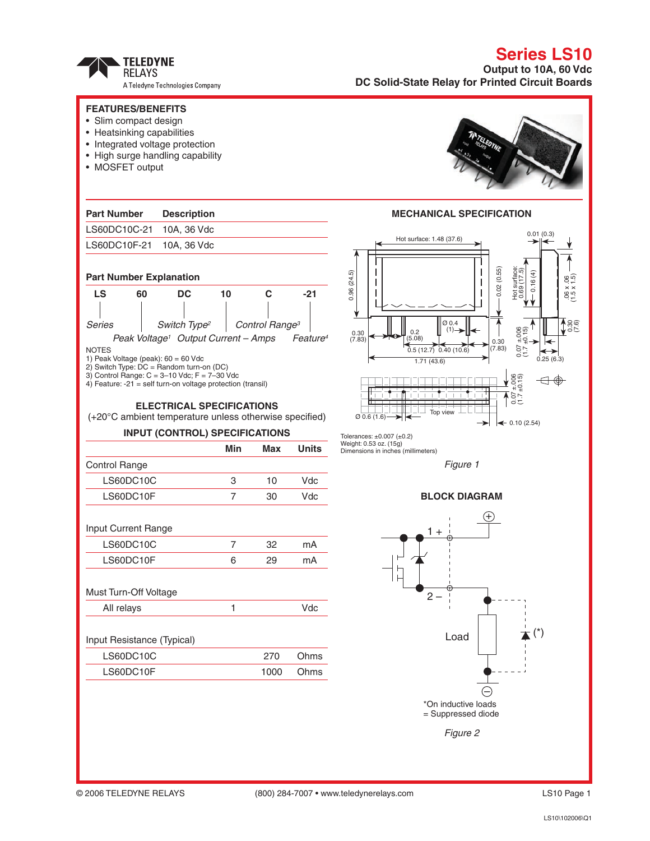TELEDYNE<br>RELAYS A Teledyne Technologies Company

## **Series LS10 Output to 10A, 60 Vdc DC Solid-State Relay for Printed Circuit Boards**

| <b>FEATURES/BENEFITS</b><br>• Slim compact design<br>• Heatsinking capabilities<br>• Integrated voltage protection<br>• High surge handling capability<br>• MOSFET output                                  |                |                            |                                                                                            |                                                                                                                                                                                                           |  |  |  |
|------------------------------------------------------------------------------------------------------------------------------------------------------------------------------------------------------------|----------------|----------------------------|--------------------------------------------------------------------------------------------|-----------------------------------------------------------------------------------------------------------------------------------------------------------------------------------------------------------|--|--|--|
|                                                                                                                                                                                                            |                |                            |                                                                                            |                                                                                                                                                                                                           |  |  |  |
| <b>Part Number</b><br><b>Description</b>                                                                                                                                                                   |                |                            |                                                                                            | <b>MECHANICAL SPECIFICATION</b>                                                                                                                                                                           |  |  |  |
| LS60DC10C-21<br>10A, 36 Vdc                                                                                                                                                                                |                |                            |                                                                                            | 0.01(0.3)                                                                                                                                                                                                 |  |  |  |
| LS60DC10F-21<br>10A, 36 Vdc                                                                                                                                                                                |                |                            |                                                                                            | Hot surface: 1.48 (37.6)                                                                                                                                                                                  |  |  |  |
| <b>Part Number Explanation</b><br><b>LS</b><br><b>DC</b><br>60<br>10<br>C<br>$-21$                                                                                                                         |                |                            | 0.02(0.55)<br>Hot surface:<br>0.69 (17.5)<br>0.96(24.5)<br>€<br>$(1.5 \times 1.5)$<br>0.16 |                                                                                                                                                                                                           |  |  |  |
| <b>Series</b><br>Switch Type <sup>2</sup><br>Peak Voltage <sup>1</sup> Output Current - Amps<br><b>NOTES</b>                                                                                               |                | Control Range <sup>3</sup> | Feature <sup>4</sup>                                                                       | $\sqrt{\frac{86}{25}}$<br>$\varnothing$ 0.4<br>$\frac{1}{2}$<br>$\frac{1}{2}$<br>$\frac{1}{2}$<br>$(1) \rightarrow$<br>0.2<br>0.30<br>(7.83)<br>(5.08)<br>0.30<br>$-200$<br>(7.83)<br>0.5(12.7)0.40(10.6) |  |  |  |
| 1) Peak Voltage (peak): 60 = 60 Vdc<br>2) Switch Type: $DC = Random turn-on (DC)$<br>3) Control Range: $C = 3 - 10$ Vdc; $F = 7 - 30$ Vdc<br>4) Feature: $-21$ = self turn-on voltage protection (transil) |                |                            |                                                                                            | 0.25(6.3)<br>1.71(43.6)<br>$7 + 006$<br>$+0.15$                                                                                                                                                           |  |  |  |
| <b>ELECTRICAL SPECIFICATIONS</b><br>(+20°C ambient temperature unless otherwise specified)                                                                                                                 |                |                            |                                                                                            | 750<br>Top view<br>$\varnothing$ 0.6 (1.6) $\rightarrow$<br>$\leftarrow 0.10(2.54)$                                                                                                                       |  |  |  |
| <b>INPUT (CONTROL) SPECIFICATIONS</b>                                                                                                                                                                      |                |                            |                                                                                            | Tolerances: $\pm 0.007$ ( $\pm 0.2$ )<br>Weight: 0.53 oz. (15g)                                                                                                                                           |  |  |  |
|                                                                                                                                                                                                            | Min            | Max                        | <b>Units</b>                                                                               | Dimensions in inches (millimeters)                                                                                                                                                                        |  |  |  |
| Control Range                                                                                                                                                                                              |                |                            |                                                                                            | Figure 1                                                                                                                                                                                                  |  |  |  |
| LS60DC10C                                                                                                                                                                                                  | 3              | 10                         | Vdc                                                                                        |                                                                                                                                                                                                           |  |  |  |
| LS60DC10F                                                                                                                                                                                                  | $\overline{7}$ | 30                         | Vdc                                                                                        | <b>BLOCK DIAGRAM</b>                                                                                                                                                                                      |  |  |  |
| Input Current Range                                                                                                                                                                                        |                |                            |                                                                                            | $1 +$                                                                                                                                                                                                     |  |  |  |
| LS60DC10C                                                                                                                                                                                                  | $\overline{7}$ | 32                         | mA                                                                                         |                                                                                                                                                                                                           |  |  |  |
| LS60DC10F                                                                                                                                                                                                  | 6              | 29                         | mA                                                                                         |                                                                                                                                                                                                           |  |  |  |
| Must Turn-Off Voltage                                                                                                                                                                                      |                |                            |                                                                                            | $2 -$                                                                                                                                                                                                     |  |  |  |
| All relays                                                                                                                                                                                                 | 1              |                            | Vdc                                                                                        |                                                                                                                                                                                                           |  |  |  |
| Input Resistance (Typical)<br>LS60DC10C                                                                                                                                                                    |                | 270                        | Ohms                                                                                       | $(\dot{\phantom{a}})$<br>Load                                                                                                                                                                             |  |  |  |
| LS60DC10F                                                                                                                                                                                                  |                | 1000                       | Ohms                                                                                       |                                                                                                                                                                                                           |  |  |  |
|                                                                                                                                                                                                            |                |                            |                                                                                            |                                                                                                                                                                                                           |  |  |  |
|                                                                                                                                                                                                            |                |                            |                                                                                            | *On inductive loads<br>= Suppressed diode                                                                                                                                                                 |  |  |  |
|                                                                                                                                                                                                            |                |                            |                                                                                            | Figure 2                                                                                                                                                                                                  |  |  |  |